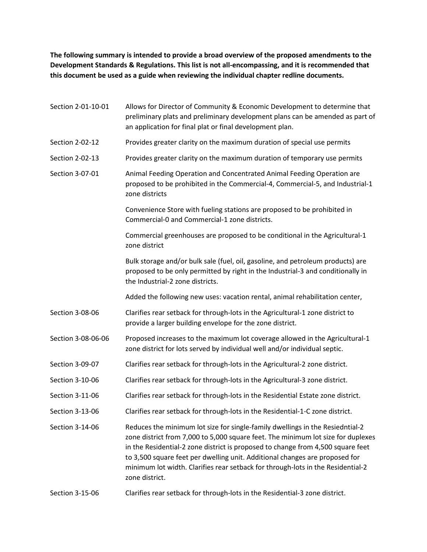**The following summary is intended to provide a broad overview of the proposed amendments to the Development Standards & Regulations. This list is not all-encompassing, and it is recommended that this document be used as a guide when reviewing the individual chapter redline documents.**

| Section 2-01-10-01 | Allows for Director of Community & Economic Development to determine that<br>preliminary plats and preliminary development plans can be amended as part of<br>an application for final plat or final development plan.                                                                                                                                                                                                                   |
|--------------------|------------------------------------------------------------------------------------------------------------------------------------------------------------------------------------------------------------------------------------------------------------------------------------------------------------------------------------------------------------------------------------------------------------------------------------------|
| Section 2-02-12    | Provides greater clarity on the maximum duration of special use permits                                                                                                                                                                                                                                                                                                                                                                  |
| Section 2-02-13    | Provides greater clarity on the maximum duration of temporary use permits                                                                                                                                                                                                                                                                                                                                                                |
| Section 3-07-01    | Animal Feeding Operation and Concentrated Animal Feeding Operation are<br>proposed to be prohibited in the Commercial-4, Commercial-5, and Industrial-1<br>zone districts                                                                                                                                                                                                                                                                |
|                    | Convenience Store with fueling stations are proposed to be prohibited in<br>Commercial-0 and Commercial-1 zone districts.                                                                                                                                                                                                                                                                                                                |
|                    | Commercial greenhouses are proposed to be conditional in the Agricultural-1<br>zone district                                                                                                                                                                                                                                                                                                                                             |
|                    | Bulk storage and/or bulk sale (fuel, oil, gasoline, and petroleum products) are<br>proposed to be only permitted by right in the Industrial-3 and conditionally in<br>the Industrial-2 zone districts.                                                                                                                                                                                                                                   |
|                    | Added the following new uses: vacation rental, animal rehabilitation center,                                                                                                                                                                                                                                                                                                                                                             |
| Section 3-08-06    | Clarifies rear setback for through-lots in the Agricultural-1 zone district to<br>provide a larger building envelope for the zone district.                                                                                                                                                                                                                                                                                              |
| Section 3-08-06-06 | Proposed increases to the maximum lot coverage allowed in the Agricultural-1<br>zone district for lots served by individual well and/or individual septic.                                                                                                                                                                                                                                                                               |
| Section 3-09-07    | Clarifies rear setback for through-lots in the Agricultural-2 zone district.                                                                                                                                                                                                                                                                                                                                                             |
| Section 3-10-06    | Clarifies rear setback for through-lots in the Agricultural-3 zone district.                                                                                                                                                                                                                                                                                                                                                             |
| Section 3-11-06    | Clarifies rear setback for through-lots in the Residential Estate zone district.                                                                                                                                                                                                                                                                                                                                                         |
| Section 3-13-06    | Clarifies rear setback for through-lots in the Residential-1-C zone district.                                                                                                                                                                                                                                                                                                                                                            |
| Section 3-14-06    | Reduces the minimum lot size for single-family dwellings in the Resiedntial-2<br>zone district from 7,000 to 5,000 square feet. The minimum lot size for duplexes<br>in the Residential-2 zone district is proposed to change from 4,500 square feet<br>to 3,500 square feet per dwelling unit. Additional changes are proposed for<br>minimum lot width. Clarifies rear setback for through-lots in the Residential-2<br>zone district. |
| Section 3-15-06    | Clarifies rear setback for through-lots in the Residential-3 zone district.                                                                                                                                                                                                                                                                                                                                                              |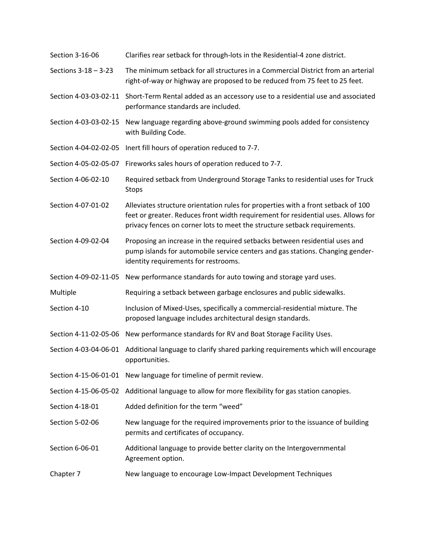| Section 3-16-06       | Clarifies rear setback for through-lots in the Residential-4 zone district.                                                                                                                                                                         |
|-----------------------|-----------------------------------------------------------------------------------------------------------------------------------------------------------------------------------------------------------------------------------------------------|
| Sections 3-18 - 3-23  | The minimum setback for all structures in a Commercial District from an arterial<br>right-of-way or highway are proposed to be reduced from 75 feet to 25 feet.                                                                                     |
| Section 4-03-03-02-11 | Short-Term Rental added as an accessory use to a residential use and associated<br>performance standards are included.                                                                                                                              |
| Section 4-03-03-02-15 | New language regarding above-ground swimming pools added for consistency<br>with Building Code.                                                                                                                                                     |
| Section 4-04-02-02-05 | Inert fill hours of operation reduced to 7-7.                                                                                                                                                                                                       |
| Section 4-05-02-05-07 | Fireworks sales hours of operation reduced to 7-7.                                                                                                                                                                                                  |
| Section 4-06-02-10    | Required setback from Underground Storage Tanks to residential uses for Truck<br>Stops                                                                                                                                                              |
| Section 4-07-01-02    | Alleviates structure orientation rules for properties with a front setback of 100<br>feet or greater. Reduces front width requirement for residential uses. Allows for<br>privacy fences on corner lots to meet the structure setback requirements. |
| Section 4-09-02-04    | Proposing an increase in the required setbacks between residential uses and<br>pump islands for automobile service centers and gas stations. Changing gender-<br>identity requirements for restrooms.                                               |
| Section 4-09-02-11-05 | New performance standards for auto towing and storage yard uses.                                                                                                                                                                                    |
| Multiple              | Requiring a setback between garbage enclosures and public sidewalks.                                                                                                                                                                                |
| Section 4-10          | Inclusion of Mixed-Uses, specifically a commercial-residential mixture. The<br>proposed language includes architectural design standards.                                                                                                           |
| Section 4-11-02-05-06 | New performance standards for RV and Boat Storage Facility Uses.                                                                                                                                                                                    |
| Section 4-03-04-06-01 | Additional language to clarify shared parking requirements which will encourage<br>opportunities.                                                                                                                                                   |
| Section 4-15-06-01-01 | New language for timeline of permit review.                                                                                                                                                                                                         |
| Section 4-15-06-05-02 | Additional language to allow for more flexibility for gas station canopies.                                                                                                                                                                         |
| Section 4-18-01       | Added definition for the term "weed"                                                                                                                                                                                                                |
| Section 5-02-06       | New language for the required improvements prior to the issuance of building<br>permits and certificates of occupancy.                                                                                                                              |
| Section 6-06-01       | Additional language to provide better clarity on the Intergovernmental<br>Agreement option.                                                                                                                                                         |
| Chapter 7             | New language to encourage Low-Impact Development Techniques                                                                                                                                                                                         |